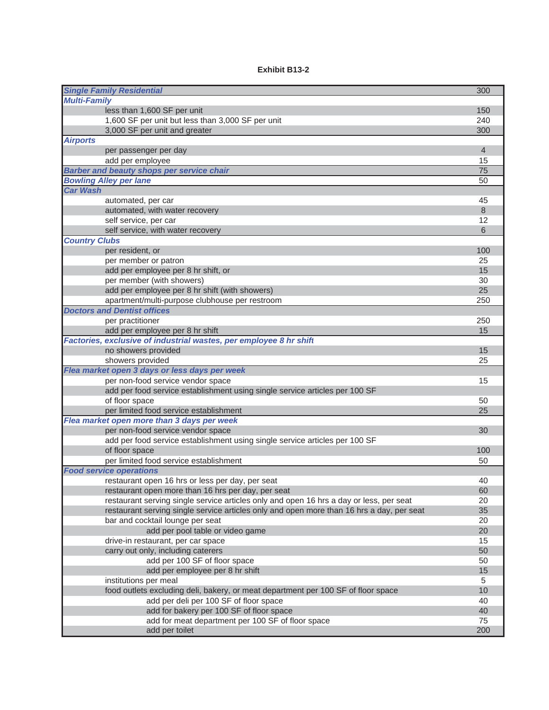## **Exhibit B13-2**

| <b>Single Family Residential</b>                                                          | 300            |
|-------------------------------------------------------------------------------------------|----------------|
| <b>Multi-Family</b>                                                                       |                |
| less than 1,600 SF per unit                                                               | 150            |
| 1,600 SF per unit but less than 3,000 SF per unit                                         | 240            |
| 3,000 SF per unit and greater                                                             | 300            |
| <b>Airports</b>                                                                           |                |
| per passenger per day                                                                     | $\overline{4}$ |
| add per employee                                                                          | 15             |
| <b>Barber and beauty shops per service chair</b>                                          | 75             |
| <b>Bowling Alley per lane</b>                                                             | 50             |
| <b>Car Wash</b>                                                                           |                |
| automated, per car                                                                        | 45             |
| automated, with water recovery                                                            | 8              |
| self service, per car                                                                     | 12             |
| self service, with water recovery                                                         | 6              |
| <b>Country Clubs</b>                                                                      |                |
| per resident, or                                                                          | 100            |
| per member or patron                                                                      | 25             |
| add per employee per 8 hr shift, or                                                       | 15             |
| per member (with showers)                                                                 | 30             |
| add per employee per 8 hr shift (with showers)                                            | 25             |
| apartment/multi-purpose clubhouse per restroom                                            | 250            |
| <b>Doctors and Dentist offices</b>                                                        |                |
| per practitioner                                                                          | 250            |
| add per employee per 8 hr shift                                                           | 15             |
| Factories, exclusive of industrial wastes, per employee 8 hr shift                        |                |
| no showers provided                                                                       | 15             |
| showers provided                                                                          | 25             |
| Flea market open 3 days or less days per week                                             |                |
| per non-food service vendor space                                                         | 15             |
| add per food service establishment using single service articles per 100 SF               |                |
| of floor space                                                                            | 50             |
| per limited food service establishment                                                    | 25             |
| Flea market open more than 3 days per week                                                |                |
| per non-food service vendor space                                                         | 30             |
| add per food service establishment using single service articles per 100 SF               |                |
| of floor space                                                                            | 100            |
| per limited food service establishment                                                    | 50             |
| <b>Food service operations</b>                                                            |                |
| restaurant open 16 hrs or less per day, per seat                                          | 40             |
| restaurant open more than 16 hrs per day, per seat                                        | 60             |
| restaurant serving single service articles only and open 16 hrs a day or less, per seat   | 20             |
| restaurant serving single service articles only and open more than 16 hrs a day, per seat | 35             |
| bar and cocktail lounge per seat                                                          | 20             |
| add per pool table or video game                                                          | 20             |
| drive-in restaurant, per car space                                                        | 15             |
| carry out only, including caterers                                                        | 50             |
| add per 100 SF of floor space                                                             | 50             |
| add per employee per 8 hr shift                                                           | 15             |
| institutions per meal                                                                     | 5              |
| food outlets excluding deli, bakery, or meat department per 100 SF of floor space         | 10             |
| add per deli per 100 SF of floor space                                                    | 40             |
| add for bakery per 100 SF of floor space                                                  | 40             |
| add for meat department per 100 SF of floor space                                         | 75             |
| add per toilet                                                                            | 200            |